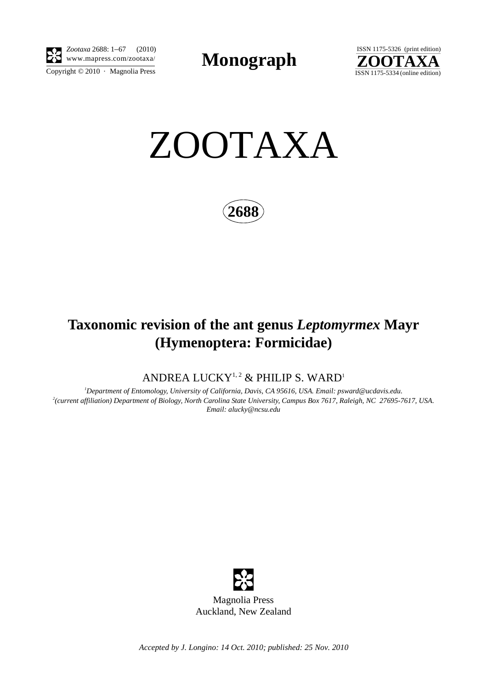

Copyright  $\odot$  2010 · Magnolia Press *Zootaxa* 2688: 1–67 (2010)

**Monograph** 





**2688**

# **Taxonomic revision of the ant genus** *Leptomyrmex* **Mayr (Hymenoptera: Formicidae)**

ANDREA LUCKY<sup>1,2</sup> & PHILIP S. WARD<sup>1</sup>

*1 Department of Entomology, University of California, Davis, CA 95616, USA. Email: psward@ucdavis.edu. 2 (current affiliation) Department of Biology, North Carolina State University, Campus Box 7617, Raleigh, NC 27695-7617, USA. Email: alucky@ncsu.edu*



*Accepted by J. Longino: 14 Oct. 2010; published: 25 Nov. 2010*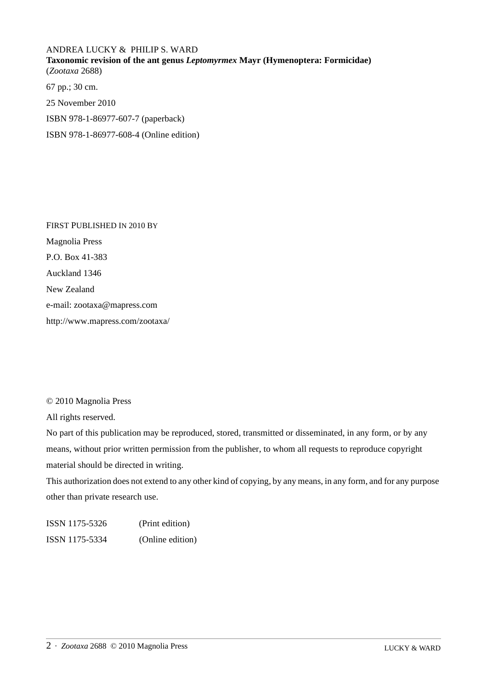## ANDREA LUCKY & PHILIP S. WARD **Taxonomic revision of the ant genus** *Leptomyrmex* **Mayr (Hymenoptera: Formicidae)** (*Zootaxa* 2688)

67 pp.; 30 cm. 25 November 2010 ISBN 978-1-86977-607-7 (paperback) ISBN 978-1-86977-608-4 (Online edition)

FIRST PUBLISHED IN 2010 BY Magnolia Press P.O. Box 41-383 Auckland 1346 New Zealand e-mail: zootaxa@mapress.com http://www.mapress.com/zootaxa/

### © 2010 Magnolia Press

All rights reserved.

No part of this publication may be reproduced, stored, transmitted or disseminated, in any form, or by any means, without prior written permission from the publisher, to whom all requests to reproduce copyright material should be directed in writing.

This authorization does not extend to any other kind of copying, by any means, in any form, and for any purpose other than private research use.

ISSN 1175-5326 (Print edition) ISSN 1175-5334 (Online edition)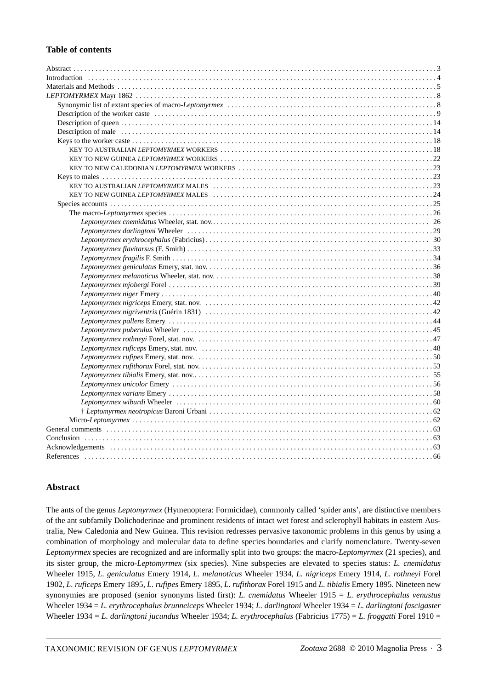#### **Table of contents**

#### **Abstract**

The ants of the genus *Leptomyrmex* (Hymenoptera: Formicidae), commonly called 'spider ants', are distinctive members of the ant subfamily Dolichoderinae and prominent residents of intact wet forest and sclerophyll habitats in eastern Australia, New Caledonia and New Guinea. This revision redresses pervasive taxonomic problems in this genus by using a combination of morphology and molecular data to define species boundaries and clarify nomenclature. Twenty-seven *Leptomyrmex* species are recognized and are informally split into two groups: the macro-*Leptomyrmex* (21 species), and its sister group, the micro-*Leptomyrmex* (six species). Nine subspecies are elevated to species status: *L. cnemidatus*  Wheeler 1915, *L. geniculatus* Emery 1914, *L. melanoticus* Wheeler 1934, *L. nigriceps* Emery 1914, *L. rothneyi* Forel 1902, *L. ruficeps* Emery 1895, *L. rufipes* Emery 1895, *L. rufithorax* Forel 1915 and *L. tibialis* Emery 1895. Nineteen new synonymies are proposed (senior synonyms listed first): *L. cnemidatus* Wheeler 1915 = *L. erythrocephalus venustus*  Wheeler 1934 = *L. erythrocephalus brunneiceps* Wheeler 1934; *L. darlingtoni* Wheeler 1934 = *L. darlingtoni fascigaster* Wheeler 1934 = *L. darlingtoni jucundus* Wheeler 1934; *L. erythrocephalus* (Fabricius 1775) = *L. froggatti* Forel 1910 =